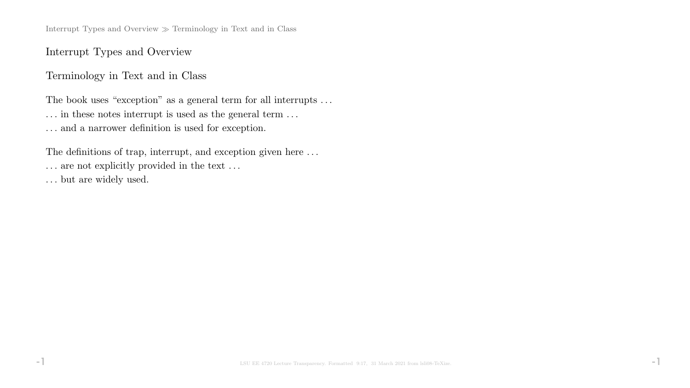Interrupt Types and Overview  $\gg$  Terminology in Text and in Class

Interrupt Types and Overview

Terminology in Text and in Class

The book uses "exception" as a general term for all interrupts ...  $\ldots$  in these notes interrupt is used as the general term  $\ldots$ . . . and a narrower definition is used for exception.

The definitions of trap, interrupt, and exception given here . . .  $\dots$  are not explicitly provided in the text  $\dots$ 

. . . but are widely used.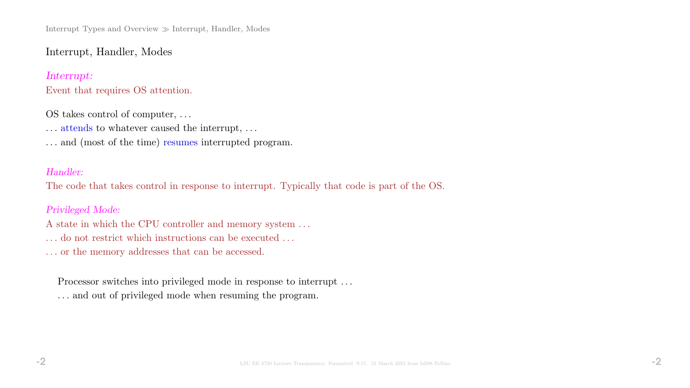Interrupt Types and Overview  $\gg$  Interrupt, Handler, Modes

Interrupt, Handler, Modes

Interrupt: Event that requires OS attention.

OS takes control of computer, . . .

 $\dots$  attends to whatever caused the interrupt,  $\dots$ 

. . . and (most of the time) resumes interrupted program.

#### Handler:

The code that takes control in response to interrupt. Typically that code is part of the OS.

Privileged Mode:

A state in which the CPU controller and memory system . . . . . . do not restrict which instructions can be executed . . . . . . or the memory addresses that can be accessed.

Processor switches into privileged mode in response to interrupt ... . . . and out of privileged mode when resuming the program.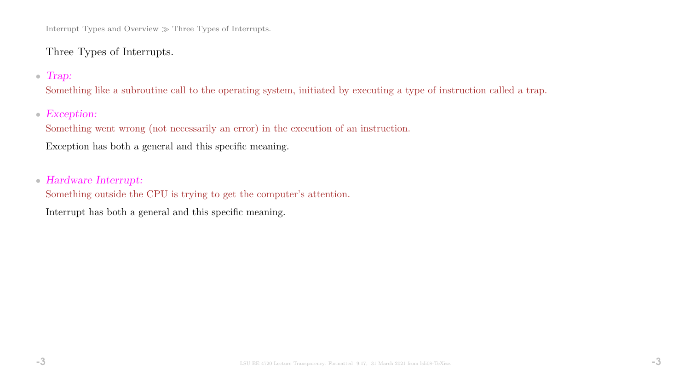Interrupt Types and Overview  $\gg$  Three Types of Interrupts.

# Three Types of Interrupts.

### • Trap:

Something like a subroutine call to the operating system, initiated by executing a type of instruction called a trap.

## • Exception:

Something went wrong (not necessarily an error) in the execution of an instruction.

Exception has both a general and this specific meaning.

#### • Hardware Interrupt:

Something outside the CPU is trying to get the computer's attention.

Interrupt has both a general and this specific meaning.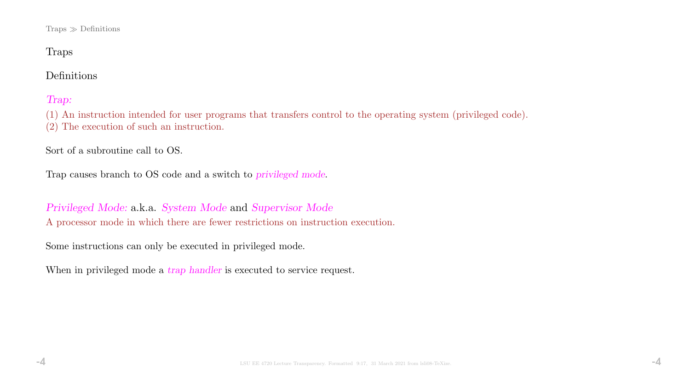$Traps \gg Definitions$ 

# Traps

# Definitions

# Trap:

(1) An instruction intended for user programs that transfers control to the operating system (privileged code). (2) The execution of such an instruction.

Sort of a subroutine call to OS.

Trap causes branch to OS code and a switch to privileged mode.

Privileged Mode: a.k.a. System Mode and Supervisor Mode A processor mode in which there are fewer restrictions on instruction execution.

Some instructions can only be executed in privileged mode.

When in privileged mode a *trap handler* is executed to service request.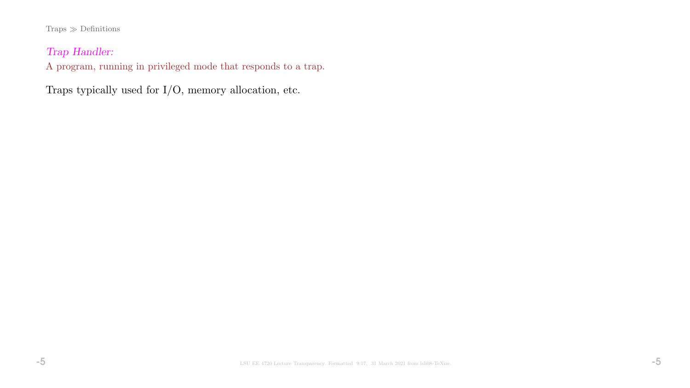#### $\textsc{Traps} \gg \textsc{Definitions}$

# Trap Handler:

A program, running in privileged mode that responds to a trap.

Traps typically used for I/O, memory allocation, etc.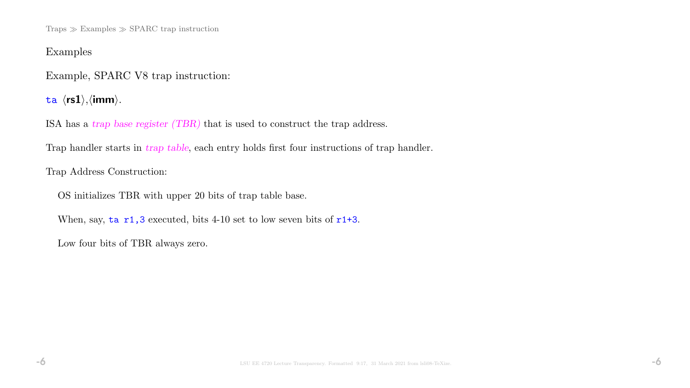Traps  $\gg$  Examples  $\gg$  SPARC trap instruction

### Examples

Example, SPARC V8 trap instruction:

ta  $\langle$ rs1 $\rangle$ , $\langle$ imm $\rangle$ .

ISA has a trap base register (TBR) that is used to construct the trap address.

Trap handler starts in *trap table*, each entry holds first four instructions of trap handler.

Trap Address Construction:

OS initializes TBR with upper 20 bits of trap table base.

When, say,  $\tan 1, 3$  executed, bits 4-10 set to low seven bits of  $r1+3$ .

Low four bits of TBR always zero.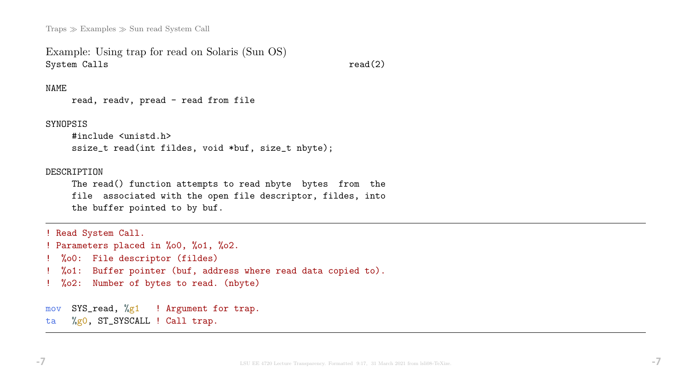Traps  $\gg$  Examples  $\gg$  Sun read System Call

```
Example: Using trap for read on Solaris (Sun OS)
System Calls read(2)
```
#### NAME

```
read, readv, pread - read from file
```
#### SYNOPSIS

```
#include <unistd.h>
ssize_t read(int fildes, void *buf, size_t nbyte);
```
#### DESCRIPTION

The read() function attempts to read nbyte bytes from the file associated with the open file descriptor, fildes, into the buffer pointed to by buf.

```
! Read System Call.
! Parameters placed in %o0, %o1, %o2.
! %o0: File descriptor (fildes)
  ! %o1: Buffer pointer (buf, address where read data copied to).
! %o2: Number of bytes to read. (nbyte)
mov SYS_read, %g1 ! Argument for trap.
```
ta %g0, ST\_SYSCALL ! Call trap.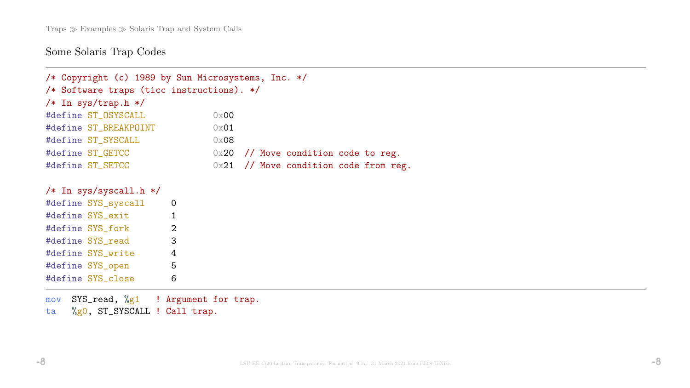# Some Solaris Trap Codes

| /* Copyright (c) 1989 by Sun Microsystems, Inc. */ |                |      |  |  |                                         |  |  |  |  |  |  |  |
|----------------------------------------------------|----------------|------|--|--|-----------------------------------------|--|--|--|--|--|--|--|
| /* Software traps (ticc instructions). */          |                |      |  |  |                                         |  |  |  |  |  |  |  |
| $/*$ In sys/trap.h $*/$                            |                |      |  |  |                                         |  |  |  |  |  |  |  |
| #define ST_OSYSCALL                                |                | 0x00 |  |  |                                         |  |  |  |  |  |  |  |
| #define ST_BREAKPOINT                              |                | 0x01 |  |  |                                         |  |  |  |  |  |  |  |
| #define ST_SYSCALL                                 |                | 0x08 |  |  |                                         |  |  |  |  |  |  |  |
| #define ST_GETCC                                   |                |      |  |  | $0x20$ // Move condition code to reg.   |  |  |  |  |  |  |  |
| #define ST_SETCC                                   |                |      |  |  | $0x21$ // Move condition code from reg. |  |  |  |  |  |  |  |
|                                                    |                |      |  |  |                                         |  |  |  |  |  |  |  |
| $/*$ In sys/syscall.h $*/$                         |                |      |  |  |                                         |  |  |  |  |  |  |  |
| #define SYS_syscall                                | $\overline{0}$ |      |  |  |                                         |  |  |  |  |  |  |  |
| #define SYS_exit                                   | $\mathbf{1}$   |      |  |  |                                         |  |  |  |  |  |  |  |
| #define SYS_fork 2                                 |                |      |  |  |                                         |  |  |  |  |  |  |  |
| #define SYS_read                                   | 3              |      |  |  |                                         |  |  |  |  |  |  |  |
| #define SYS_write 4                                |                |      |  |  |                                         |  |  |  |  |  |  |  |
| #define SYS_open 5                                 |                |      |  |  |                                         |  |  |  |  |  |  |  |
| #define SYS_close                                  | 6              |      |  |  |                                         |  |  |  |  |  |  |  |
|                                                    |                |      |  |  |                                         |  |  |  |  |  |  |  |
| SYS_read, %g1 ! Argument for trap.<br>mov          |                |      |  |  |                                         |  |  |  |  |  |  |  |
| $\%$ gO, ST_SYSCALL ! Call trap.<br>ta             |                |      |  |  |                                         |  |  |  |  |  |  |  |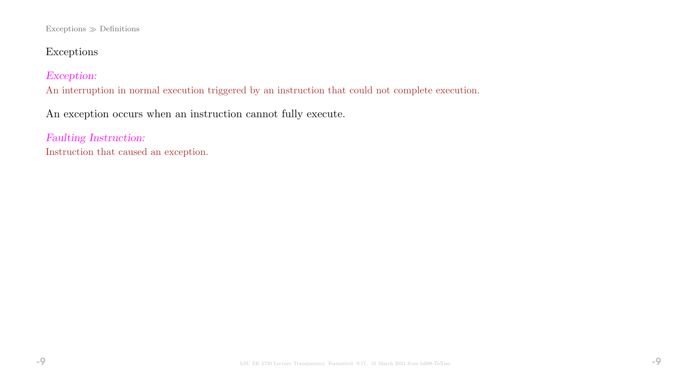#### Exceptions  $\gg$  Definitions

# Exceptions

### Exception:

An interruption in normal execution triggered by an instruction that could not complete execution.

An exception occurs when an instruction cannot fully execute.

Faulting Instruction: Instruction that caused an exception.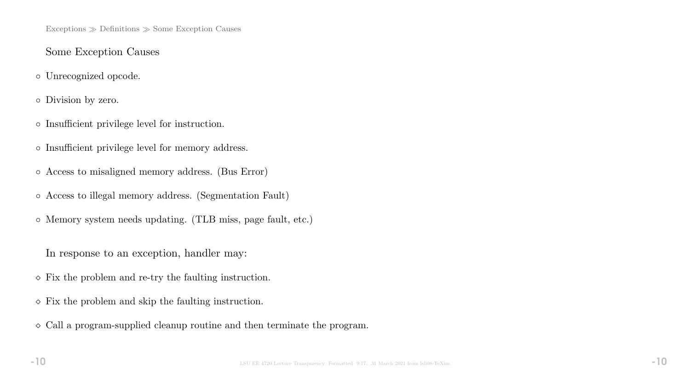$Exceptions \gg Definitions \gg Some Exception \text{ Causes}$ 

# Some Exception Causes

◦ Unrecognized opcode.

◦ Division by zero.

- Insufficient privilege level for instruction.
- Insufficient privilege level for memory address.
- Access to misaligned memory address. (Bus Error)
- Access to illegal memory address. (Segmentation Fault)
- Memory system needs updating. (TLB miss, page fault, etc.)

In response to an exception, handler may:

- $\Diamond$  Fix the problem and re-try the faulting instruction.
- $\diamond$  Fix the problem and skip the faulting instruction.
- $\Diamond$  Call a program-supplied cleanup routine and then terminate the program.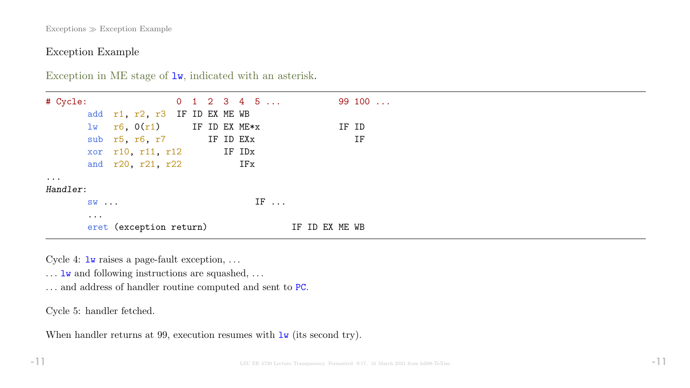Exceptions Exception Example

### Exception Example

Exception in ME stage of  $1w$ , indicated with an asterisk.

| # Cycle:             |                      |                                       |  |  | $0 \quad 1 \quad 2 \quad 3 \quad 4 \quad 5 \quad \ldots$ |             |     |  |             | 99100 |  |
|----------------------|----------------------|---------------------------------------|--|--|----------------------------------------------------------|-------------|-----|--|-------------|-------|--|
|                      |                      | add r1, r2, r3 IF ID EX ME WB         |  |  |                                                          |             |     |  |             |       |  |
|                      |                      | $\frac{1}{W}$ r6, 0(r1) IF ID EX ME*x |  |  |                                                          |             |     |  |             | IF ID |  |
|                      |                      | sub r5, r6, r7 IF ID EXx              |  |  |                                                          |             |     |  |             | IF    |  |
|                      |                      | xor $r10$ , $r11$ , $r12$ IF IDx      |  |  |                                                          |             |     |  |             |       |  |
|                      |                      | and r20, r21, r22                     |  |  | IFx                                                      |             |     |  |             |       |  |
| $\ddot{\phantom{a}}$ |                      |                                       |  |  |                                                          |             |     |  |             |       |  |
| Handler:             |                      |                                       |  |  |                                                          |             |     |  |             |       |  |
|                      | $SW \ldots$          |                                       |  |  |                                                          | $IF \ldots$ |     |  |             |       |  |
|                      | $\ddot{\phantom{a}}$ | eret (exception return)               |  |  |                                                          |             | TF. |  | ID EX ME WB |       |  |

Cycle 4:  $\text{1w}$  raises a page-fault exception, ...

 $\dots$ <br> ${\tt lw}$  and following instructions are squashed,<br>  $\dots$ 

. . . and address of handler routine computed and sent to PC.

Cycle 5: handler fetched.

When handler returns at 99, execution resumes with  $\frac{1}{w}$  (its second try).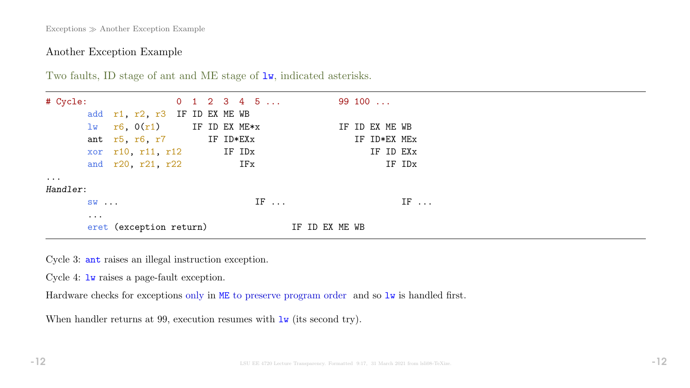Exceptions  $\gg$  Another Exception Example

# Another Exception Example

| # Cycle:  |                      |                                       |  |  | $0$ 1 2 3 4 5 |             |             |  | 99 100 |                |              |
|-----------|----------------------|---------------------------------------|--|--|---------------|-------------|-------------|--|--------|----------------|--------------|
|           |                      | add r1, r2, r3 IF ID EX ME WB         |  |  |               |             |             |  |        |                |              |
|           |                      | $\frac{1}{W}$ r6, 0(r1) IF ID EX ME*x |  |  |               |             |             |  |        | IF ID EX ME WB |              |
|           |                      | ant $r5$ , $r6$ , $r7$ IF ID*EXx      |  |  |               |             |             |  |        |                | IF ID*EX MEx |
|           |                      | $\text{xor } r10, r11, r12$ IF IDx    |  |  |               |             |             |  |        |                | IF ID EXX    |
|           |                      | and r20, r21, r22                     |  |  | IFx           |             |             |  |        |                | IF IDx       |
| $\ddotsc$ |                      |                                       |  |  |               |             |             |  |        |                |              |
| Handler:  |                      |                                       |  |  |               |             |             |  |        |                |              |
|           | $SW \ldots$          |                                       |  |  |               | $IF \ldots$ |             |  |        |                | $IF \ldots$  |
|           | $\ddot{\phantom{a}}$ |                                       |  |  |               |             |             |  |        |                |              |
|           |                      | eret (exception return)               |  |  |               |             | ID EX ME WB |  |        |                |              |

Two faults, ID stage of ant and ME stage of  $1w$ , indicated asterisks.

Cycle 3: ant raises an illegal instruction exception.

Cycle 4: lw raises a page-fault exception.

Hardware checks for exceptions only in ME to preserve program order and so  $\mathbf{1w}$  is handled first.

When handler returns at 99, execution resumes with  $\frac{1}{w}$  (its second try).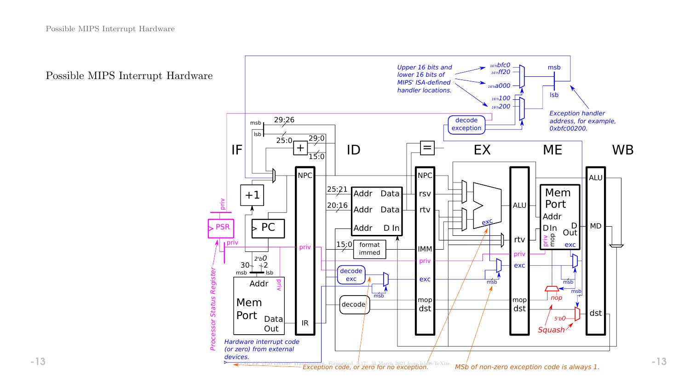Possible MIPS Interrupt Hardware

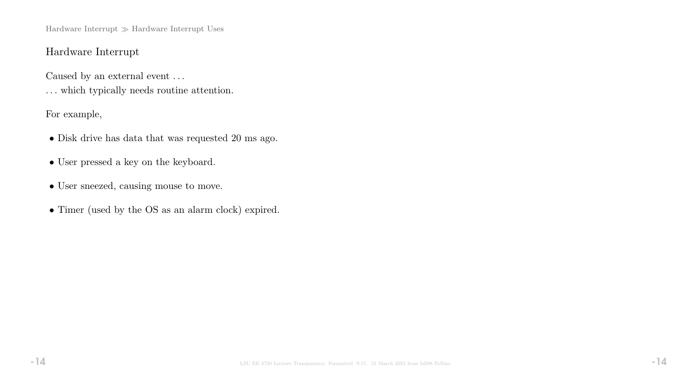Hardware Interrupt $\gg$  Hardware Interrupt Uses

# Hardware Interrupt

Caused by an external event  $\ldots$ 

. . . which typically needs routine attention.

For example,

- Disk drive has data that was requested 20 ms ago.
- User pressed a key on the keyboard.
- User sneezed, causing mouse to move.
- Timer (used by the OS as an alarm clock) expired.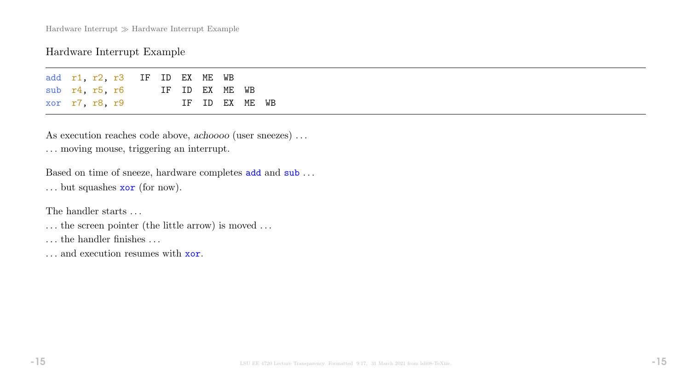Hardware Interrupt  $\gg$  Hardware Interrupt Example

### Hardware Interrupt Example

|                |  | add r1, r2, r3 IF ID EX ME WB |  |                |  |  |
|----------------|--|-------------------------------|--|----------------|--|--|
|                |  | $sub$ $r4$ , $r5$ , $r6$      |  | IF ID EX ME WB |  |  |
| xor r7, r8, r9 |  |                               |  | IF ID EX ME WB |  |  |

As execution reaches code above, achoooo (user sneezes) ... . . . moving mouse, triggering an interrupt.

Based on time of sneeze, hardware completes add and sub ... . . . but squashes xor (for now).

The handler starts ...

. . . the screen pointer (the little arrow) is moved . . .

. . . the handler finishes . . .

... and execution resumes with **xor**.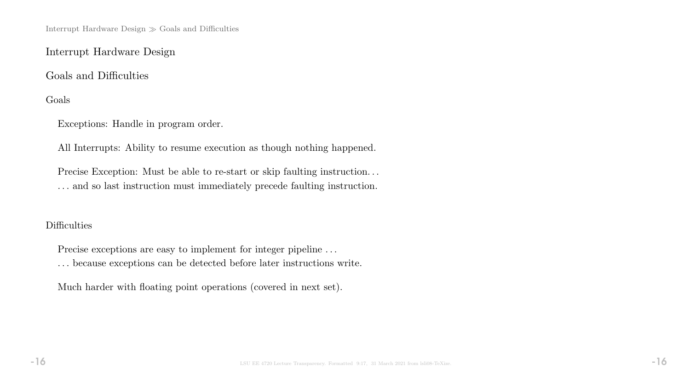Interrupt Hardware Design  $\gg$  Goals and Difficulties

Interrupt Hardware Design

Goals and Difficulties

Goals

Exceptions: Handle in program order.

All Interrupts: Ability to resume execution as though nothing happened.

Precise Exception: Must be able to re-start or skip faulting instruction... . . . and so last instruction must immediately precede faulting instruction.

## **Difficulties**

Precise exceptions are easy to implement for integer pipeline ...

 $\ldots$  because exceptions can be detected before later instructions write.

Much harder with floating point operations (covered in next set).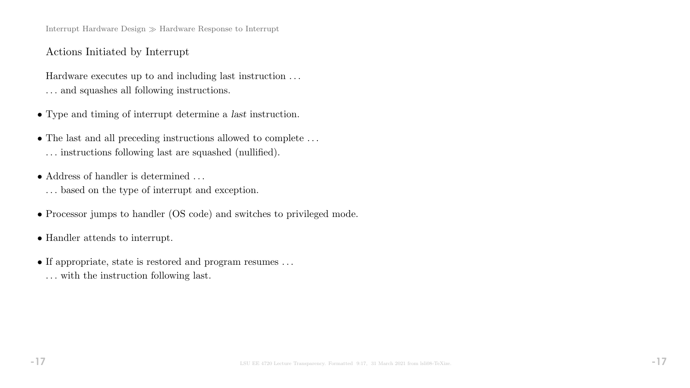Interrupt Hardware Design  $\gg$  Hardware Response to Interrupt

## Actions Initiated by Interrupt

Hardware executes up to and including last instruction . . . . . . and squashes all following instructions.

- Type and timing of interrupt determine a last instruction.
- $\bullet$  The last and all preceding instructions allowed to complete  $\ldots$ . . . instructions following last are squashed (nullified).
- Address of handler is determined . . . . . . based on the type of interrupt and exception.
- Processor jumps to handler (OS code) and switches to privileged mode.
- Handler attends to interrupt.
- If appropriate, state is restored and program resumes . . . . . . with the instruction following last.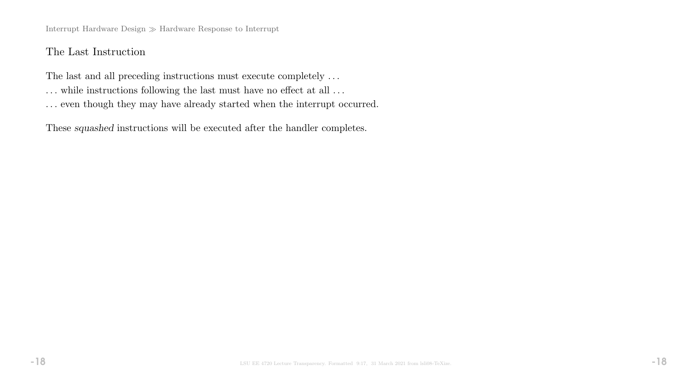Interrupt Hardware Design $\gg$  Hardware Response to Interrupt

# The Last Instruction

The last and all preceding instructions must execute completely  $\ldots$ 

- $\ldots$  while instructions following the last must have no effect at all  $\ldots$
- $\ldots$  even though they may have already started when the interrupt occurred.

These squashed instructions will be executed after the handler completes.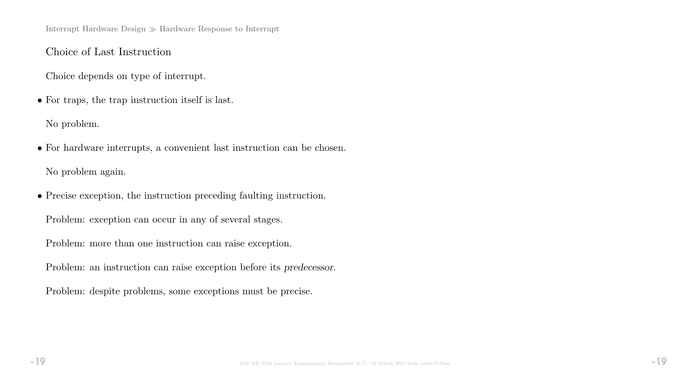Interrupt Hardware Design  $\gg$  Hardware Response to Interrupt

Choice of Last Instruction

Choice depends on type of interrupt.

• For traps, the trap instruction itself is last.

No problem.

• For hardware interrupts, a convenient last instruction can be chosen. No problem again.

• Precise exception, the instruction preceding faulting instruction.

Problem: exception can occur in any of several stages.

Problem: more than one instruction can raise exception.

Problem: an instruction can raise exception before its predecessor.

Problem: despite problems, some exceptions must be precise.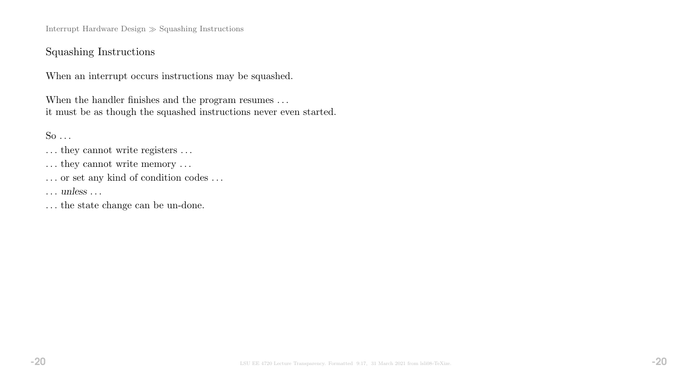Interrupt Hardware Design  $\gg$  Squashing Instructions

### Squashing Instructions

When an interrupt occurs instructions may be squashed.

When the handler finishes and the program resumes . . . it must be as though the squashed instructions never even started.

 $So \ldots$ 

- $\dots$  they cannot write registers  $\dots$
- ... they cannot write memory ...
- $\ldots$  or set any kind of condition codes  $\ldots$

. . . unless . . .

. . . the state change can be un-done.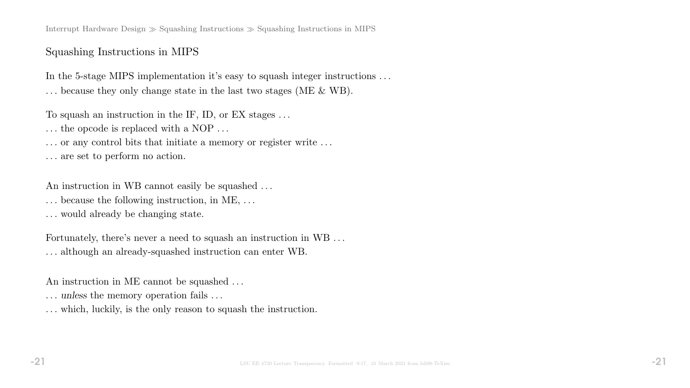Interrupt Hardware Design  $\gg$  Squashing Instructions  $\gg$  Squashing Instructions in MIPS

# Squashing Instructions in MIPS

In the 5-stage MIPS implementation it's easy to squash integer instructions ... . . . because they only change state in the last two stages (ME & WB).

To squash an instruction in the IF, ID, or EX stages . . .

... the opcode is replaced with a NOP ...

... or any control bits that initiate a memory or register write ...

. . . are set to perform no action.

An instruction in WB cannot easily be squashed ...

. . . because the following instruction, in ME, . . .

. . . would already be changing state.

Fortunately, there's never a need to squash an instruction in WB . . . . . . although an already-squashed instruction can enter WB.

An instruction in ME cannot be squashed . . .

... unless the memory operation fails ...

. . . which, luckily, is the only reason to squash the instruction.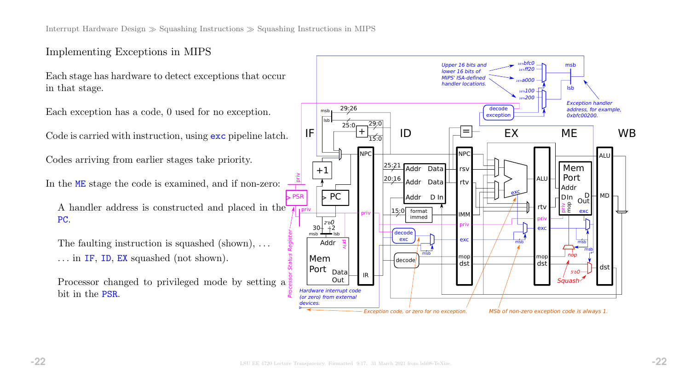# Implementing Exceptions in MIPS

Each stage has hardware to detect exceptions that occur in that stage.

Each exception has a code, 0 used for no exception.

Code is carried with instruction, using exc pipeline latch.

Codes arriving from earlier stages take priority.

In the ME stage the code is examined, and if non-zero:

A handler address is constructed and placed in the PC.

The faulting instruction is squashed (shown), ... . . . in IF, ID, EX squashed (not shown).

Processor changed to privileged mode by setting a bit in the PSR.

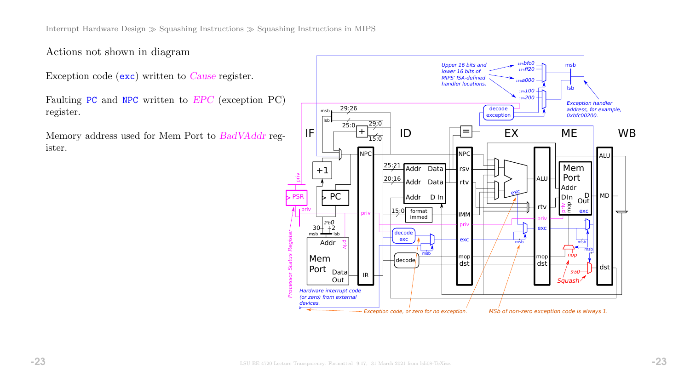Actions not shown in diagram

Exception code (exc) written to Cause register.

Faulting PC and NPC written to EPC (exception PC) register.

Memory address used for Mem Port to BadVAddr register.

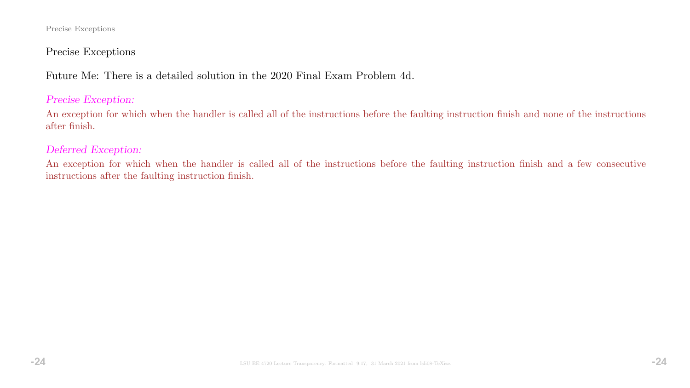#### Precise Exceptions

## Precise Exceptions

Future Me: There is a detailed solution in the 2020 Final Exam Problem 4d.

### Precise Exception:

An exception for which when the handler is called all of the instructions before the faulting instruction finish and none of the instructions after finish.

#### Deferred Exception:

An exception for which when the handler is called all of the instructions before the faulting instruction finish and a few consecutive instructions after the faulting instruction finish.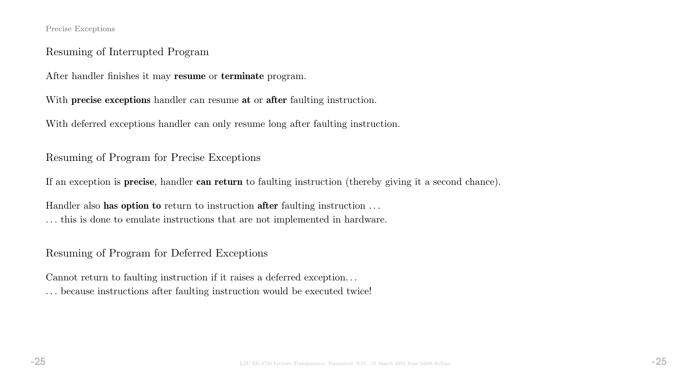#### Precise Exceptions

# Resuming of Interrupted Program

After handler finishes it may resume or terminate program.

With **precise exceptions** handler can resume at or after faulting instruction.

With deferred exceptions handler can only resume long after faulting instruction.

Resuming of Program for Precise Exceptions

If an exception is precise, handler can return to faulting instruction (thereby giving it a second chance).

Handler also has option to return to instruction after faulting instruction ... . . . this is done to emulate instructions that are not implemented in hardware.

Resuming of Program for Deferred Exceptions

Cannot return to faulting instruction if it raises a deferred exception. . . . . . because instructions after faulting instruction would be executed twice!